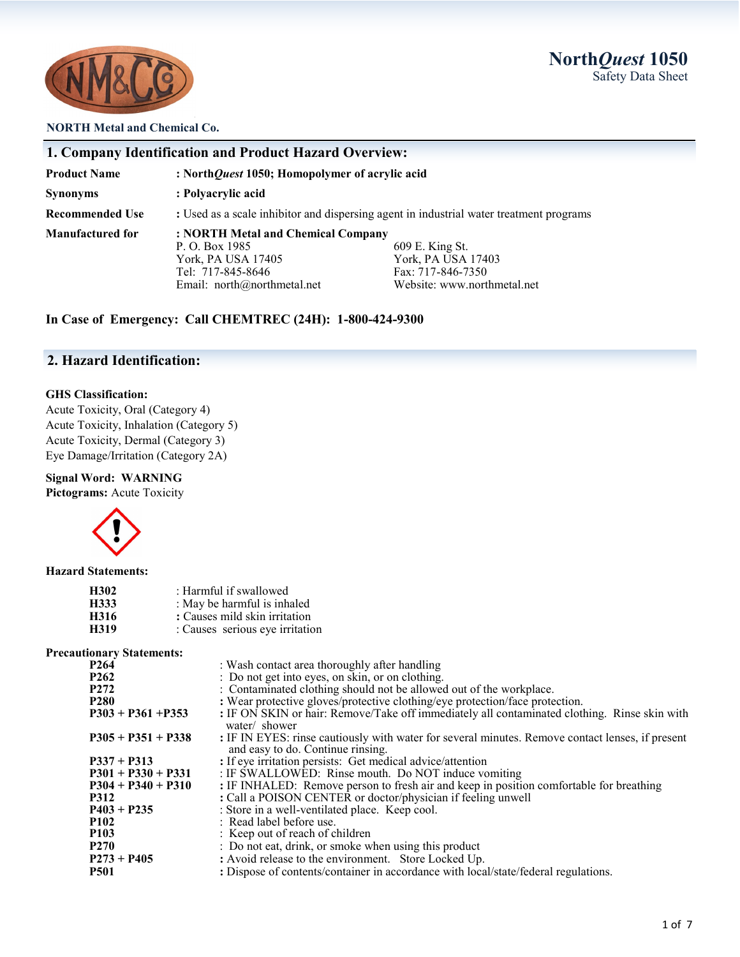**North***Quest* **1050** Safety Data Sheet



### **NORTH Metal and Chemical Co.**

| 1. Company Identification and Product Hazard Overview: |                                                                                                                              |                                                                                           |  |
|--------------------------------------------------------|------------------------------------------------------------------------------------------------------------------------------|-------------------------------------------------------------------------------------------|--|
| <b>Product Name</b>                                    | : NorthQuest 1050; Homopolymer of acrylic acid                                                                               |                                                                                           |  |
| <b>Synonyms</b>                                        | : Polyacrylic acid                                                                                                           |                                                                                           |  |
| <b>Recommended Use</b>                                 | : Used as a scale inhibitor and dispersing agent in industrial water treatment programs                                      |                                                                                           |  |
| <b>Manufactured for</b>                                | : NORTH Metal and Chemical Company<br>P. O. Box 1985<br>York, PA USA 17405<br>Tel: 717-845-8646<br>Email: $north@normal.net$ | 609 E. King St.<br>York, PA USA 17403<br>Fax: 717-846-7350<br>Website: www.northmetal.net |  |

**In Case of Emergency: Call CHEMTREC (24H): 1-800-424-9300**

### **2. Hazard Identification:**

### **GHS Classification:**

Acute Toxicity, Oral (Category 4) Acute Toxicity, Inhalation (Category 5) Acute Toxicity, Dermal (Category 3) Eye Damage/Irritation (Category 2A)

### **Signal Word: WARNING**

**Pictograms:** Acute Toxicity



### **Hazard Statements:**

| H302 | : Harmful if swallowed          |
|------|---------------------------------|
| H333 | : May be harmful is inhaled     |
| H316 | : Causes mild skin irritation   |
| H319 | : Causes serious eye irritation |

### **Precautionary Statements:**

| P <sub>264</sub>     | : Wash contact area thoroughly after handling                                                                                         |
|----------------------|---------------------------------------------------------------------------------------------------------------------------------------|
| P <sub>262</sub>     | : Do not get into eyes, on skin, or on clothing.                                                                                      |
| P <sub>272</sub>     | : Contaminated clothing should not be allowed out of the workplace.                                                                   |
| <b>P280</b>          | : Wear protective gloves/protective clothing/eye protection/face protection.                                                          |
| $P303 + P361 + P353$ | : IF ON SKIN or hair: Remove/Take off immediately all contaminated clothing. Rinse skin with<br>water/ shower                         |
| $P305 + P351 + P338$ | : IF IN EYES: rinse cautiously with water for several minutes. Remove contact lenses, if present<br>and easy to do. Continue rinsing. |
| $P337 + P313$        | : If eye irritation persists: Get medical advice/attention                                                                            |
| $P301 + P330 + P331$ | : IF SWALLOWED: Rinse mouth. Do NOT induce vomiting                                                                                   |
| $P304 + P340 + P310$ | : IF INHALED: Remove person to fresh air and keep in position comfortable for breathing                                               |
| <b>P312</b>          | : Call a POISON CENTER or doctor/physician if feeling unwell                                                                          |
| $P403 + P235$        | : Store in a well-ventilated place. Keep cool.                                                                                        |
| <b>P102</b>          | : Read label before use.                                                                                                              |
| <b>P103</b>          | : Keep out of reach of children                                                                                                       |
| P <sub>270</sub>     | : Do not eat, drink, or smoke when using this product                                                                                 |
| $P273 + P405$        | : Avoid release to the environment. Store Locked Up.                                                                                  |
| <b>P501</b>          | : Dispose of contents/container in accordance with local/state/federal regulations.                                                   |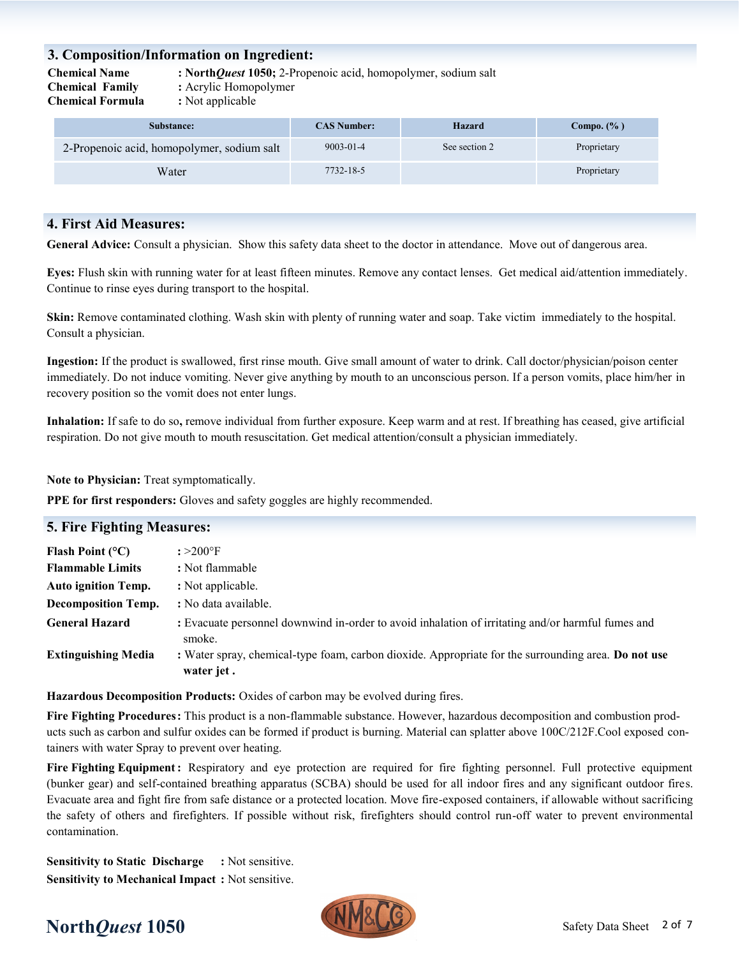### **3. Composition/Information on Ingredient:**

**Chemical Family :** Acrylic Homopolymer

**Chemical Name : North***Quest* **1050;** 2-Propenoic acid, homopolymer, sodium salt

**Chemical Formula :** Not applicable

| Substance:                                 | <b>CAS Number:</b> | Hazard        | Compo. $(\% )$ |
|--------------------------------------------|--------------------|---------------|----------------|
| 2-Propenoic acid, homopolymer, sodium salt | $9003 - 01 - 4$    | See section 2 | Proprietary    |
| Water                                      | 7732-18-5          |               | Proprietary    |

### **4. First Aid Measures:**

**General Advice:** Consult a physician. Show this safety data sheet to the doctor in attendance. Move out of dangerous area.

**Eyes:** Flush skin with running water for at least fifteen minutes. Remove any contact lenses. Get medical aid/attention immediately. Continue to rinse eyes during transport to the hospital.

**Skin:** Remove contaminated clothing. Wash skin with plenty of running water and soap. Take victim immediately to the hospital. Consult a physician.

**Ingestion:** If the product is swallowed, first rinse mouth. Give small amount of water to drink. Call doctor/physician/poison center immediately. Do not induce vomiting. Never give anything by mouth to an unconscious person. If a person vomits, place him/her in recovery position so the vomit does not enter lungs.

**Inhalation:** If safe to do so**,** remove individual from further exposure. Keep warm and at rest. If breathing has ceased, give artificial respiration. Do not give mouth to mouth resuscitation. Get medical attention/consult a physician immediately.

**Note to Physician:** Treat symptomatically.

**PPE for first responders:** Gloves and safety goggles are highly recommended.

| <b>5. Fire Fighting Measures:</b> |                                                                                                                   |  |
|-----------------------------------|-------------------------------------------------------------------------------------------------------------------|--|
| Flash Point $(^{\circ}C)$         | $: >200^{\circ}$ F                                                                                                |  |
| <b>Flammable Limits</b>           | : Not flammable                                                                                                   |  |
| <b>Auto ignition Temp.</b>        | : Not applicable.                                                                                                 |  |
| <b>Decomposition Temp.</b>        | : No data available.                                                                                              |  |
| <b>General Hazard</b>             | : Evacuate personnel downwind in-order to avoid inhalation of irritating and/or harmful fumes and<br>smoke.       |  |
| <b>Extinguishing Media</b>        | : Water spray, chemical-type foam, carbon dioxide. Appropriate for the surrounding area. Do not use<br>water jet. |  |

**Hazardous Decomposition Products:** Oxides of carbon may be evolved during fires.

**Fire Fighting Procedures:** This product is a non-flammable substance. However, hazardous decomposition and combustion products such as carbon and sulfur oxides can be formed if product is burning. Material can splatter above 100C/212F.Cool exposed containers with water Spray to prevent over heating.

**Fire Fighting Equipment:** Respiratory and eye protection are required for fire fighting personnel. Full protective equipment (bunker gear) and self-contained breathing apparatus (SCBA) should be used for all indoor fires and any significant outdoor fires. Evacuate area and fight fire from safe distance or a protected location. Move fire-exposed containers, if allowable without sacrificing the safety of others and firefighters. If possible without risk, firefighters should control run-off water to prevent environmental contamination.

**Sensitivity to Static Discharge :** Not sensitive. **Sensitivity to Mechanical Impact :** Not sensitive.



# **North***Quest* 1050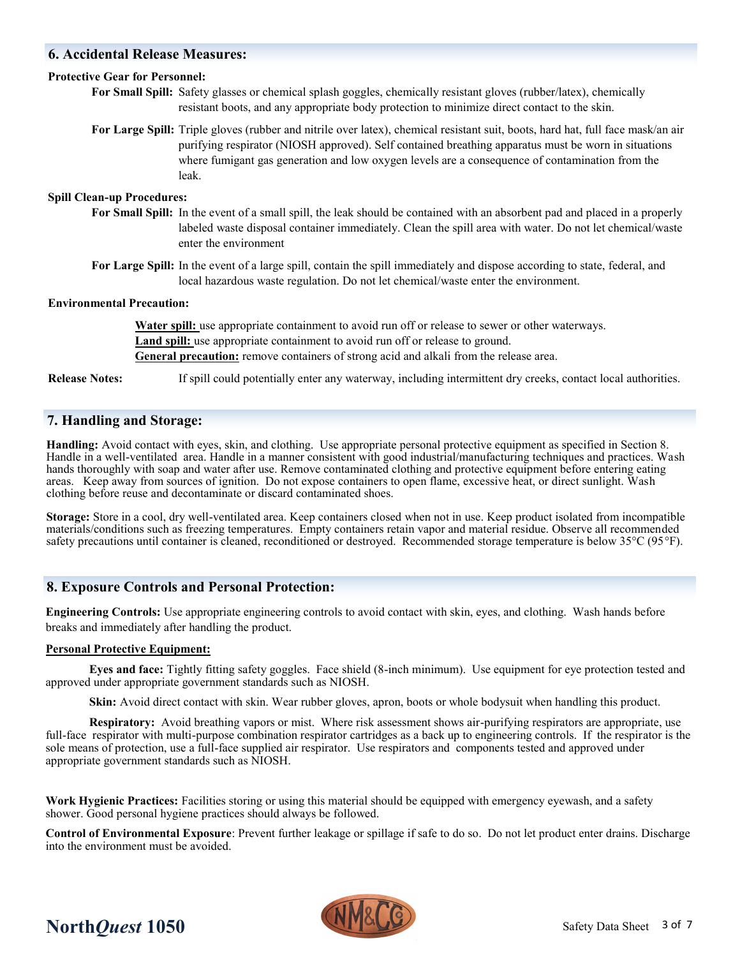### **6. Accidental Release Measures:**

### **Protective Gear for Personnel:**

**For Small Spill:** Safety glasses or chemical splash goggles, chemically resistant gloves (rubber/latex), chemically resistant boots, and any appropriate body protection to minimize direct contact to the skin.

**For Large Spill:** Triple gloves (rubber and nitrile over latex), chemical resistant suit, boots, hard hat, full face mask/an air purifying respirator (NIOSH approved). Self contained breathing apparatus must be worn in situations where fumigant gas generation and low oxygen levels are a consequence of contamination from the leak.

### **Spill Clean-up Procedures:**

- **For Small Spill:** In the event of a small spill, the leak should be contained with an absorbent pad and placed in a properly labeled waste disposal container immediately. Clean the spill area with water. Do not let chemical/waste enter the environment
- **For Large Spill:** In the event of a large spill, contain the spill immediately and dispose according to state, federal, and local hazardous waste regulation. Do not let chemical/waste enter the environment.

### **Environmental Precaution:**

**Water spill:** use appropriate containment to avoid run off or release to sewer or other waterways. Land spill: use appropriate containment to avoid run off or release to ground. **General precaution:** remove containers of strong acid and alkali from the release area.

**Release Notes:** If spill could potentially enter any waterway, including intermittent dry creeks, contact local authorities.

### **7. Handling and Storage:**

**Handling:** Avoid contact with eyes, skin, and clothing. Use appropriate personal protective equipment as specified in Section 8. Handle in a well-ventilated area. Handle in a manner consistent with good industrial/manufacturing techniques and practices. Wash hands thoroughly with soap and water after use. Remove contaminated clothing and protective equipment before entering eating areas. Keep away from sources of ignition. Do not expose containers to open flame, excessive heat, or direct sunlight. Wash clothing before reuse and decontaminate or discard contaminated shoes.

**Storage:** Store in a cool, dry well-ventilated area. Keep containers closed when not in use. Keep product isolated from incompatible materials/conditions such as freezing temperatures. Empty containers retain vapor and material residue. Observe all recommended safety precautions until container is cleaned, reconditioned or destroyed. Recommended storage temperature is below 35°C (95°F).

### **8. Exposure Controls and Personal Protection:**

**Engineering Controls:** Use appropriate engineering controls to avoid contact with skin, eyes, and clothing. Wash hands before breaks and immediately after handling the product.

### **Personal Protective Equipment:**

**Eyes and face:** Tightly fitting safety goggles. Face shield (8-inch minimum). Use equipment for eye protection tested and approved under appropriate government standards such as NIOSH.

**Skin:** Avoid direct contact with skin. Wear rubber gloves, apron, boots or whole bodysuit when handling this product.

**Respiratory:** Avoid breathing vapors or mist. Where risk assessment shows air-purifying respirators are appropriate, use full-face respirator with multi-purpose combination respirator cartridges as a back up to engineering controls. If the respirator is the sole means of protection, use a full-face supplied air respirator. Use respirators and components tested and approved under appropriate government standards such as NIOSH.

**Work Hygienic Practices:** Facilities storing or using this material should be equipped with emergency eyewash, and a safety shower. Good personal hygiene practices should always be followed.

**Control of Environmental Exposure**: Prevent further leakage or spillage if safe to do so. Do not let product enter drains. Discharge into the environment must be avoided.



# **North***Quest* 1050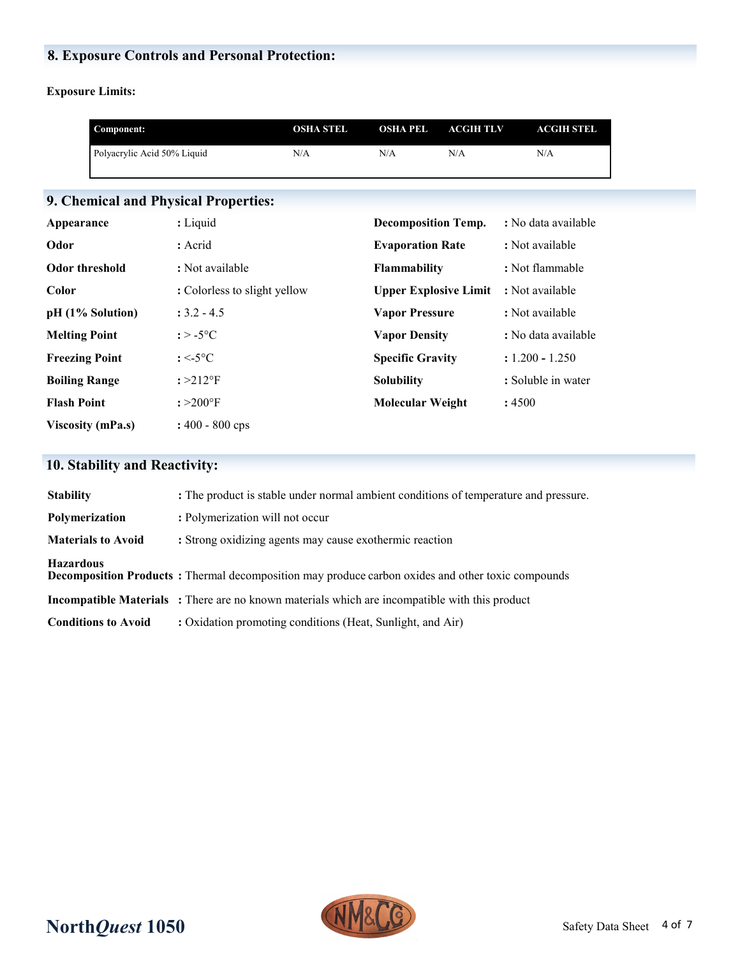## **8. Exposure Controls and Personal Protection:**

**Exposure Limits:**

|                       | Component:                  |                                      | <b>OSHA STEL</b> | <b>OSHA PEL</b>              | <b>ACGIHTLV</b> | <b>ACGIH STEL</b>   |  |
|-----------------------|-----------------------------|--------------------------------------|------------------|------------------------------|-----------------|---------------------|--|
|                       | Polyacrylic Acid 50% Liquid |                                      | N/A              | N/A                          | N/A             | N/A                 |  |
|                       |                             |                                      |                  |                              |                 |                     |  |
|                       |                             | 9. Chemical and Physical Properties: |                  |                              |                 |                     |  |
| Appearance            |                             | : Liquid                             |                  | <b>Decomposition Temp.</b>   |                 | : No data available |  |
| Odor                  |                             | : Acrid                              |                  | <b>Evaporation Rate</b>      |                 | : Not available     |  |
| <b>Odor threshold</b> |                             | : Not available                      |                  | <b>Flammability</b>          |                 | : Not flammable     |  |
| Color                 |                             | : Colorless to slight yellow         |                  | <b>Upper Explosive Limit</b> |                 | : Not available     |  |
|                       | pH (1% Solution)            | $: 3.2 - 4.5$                        |                  | <b>Vapor Pressure</b>        |                 | : Not available     |  |
| <b>Melting Point</b>  |                             | : $>$ -5 $^{\circ}$ C                |                  | <b>Vapor Density</b>         |                 | : No data available |  |
| <b>Freezing Point</b> |                             | $: < -5$ °C                          |                  | <b>Specific Gravity</b>      |                 | $: 1.200 - 1.250$   |  |
| <b>Boiling Range</b>  |                             | $: >212$ °F                          |                  | <b>Solubility</b>            |                 | : Soluble in water  |  |
| <b>Flash Point</b>    |                             | $: >200^{\circ}$ F                   |                  | <b>Molecular Weight</b>      |                 | :4500               |  |
|                       | <b>Viscosity (mPa.s)</b>    | $: 400 - 800$ cps                    |                  |                              |                 |                     |  |

# **10. Stability and Reactivity:**

| <b>Stability</b>           | : The product is stable under normal ambient conditions of temperature and pressure.                      |
|----------------------------|-----------------------------------------------------------------------------------------------------------|
| Polymerization             | : Polymerization will not occur                                                                           |
| <b>Materials to Avoid</b>  | : Strong oxidizing agents may cause exothermic reaction                                                   |
| <b>Hazardous</b>           | <b>Decomposition Products</b> : Thermal decomposition may produce carbon oxides and other toxic compounds |
|                            | <b>Incompatible Materials</b> : There are no known materials which are incompatible with this product     |
| <b>Conditions to Avoid</b> | : Oxidation promoting conditions (Heat, Sunlight, and Air)                                                |

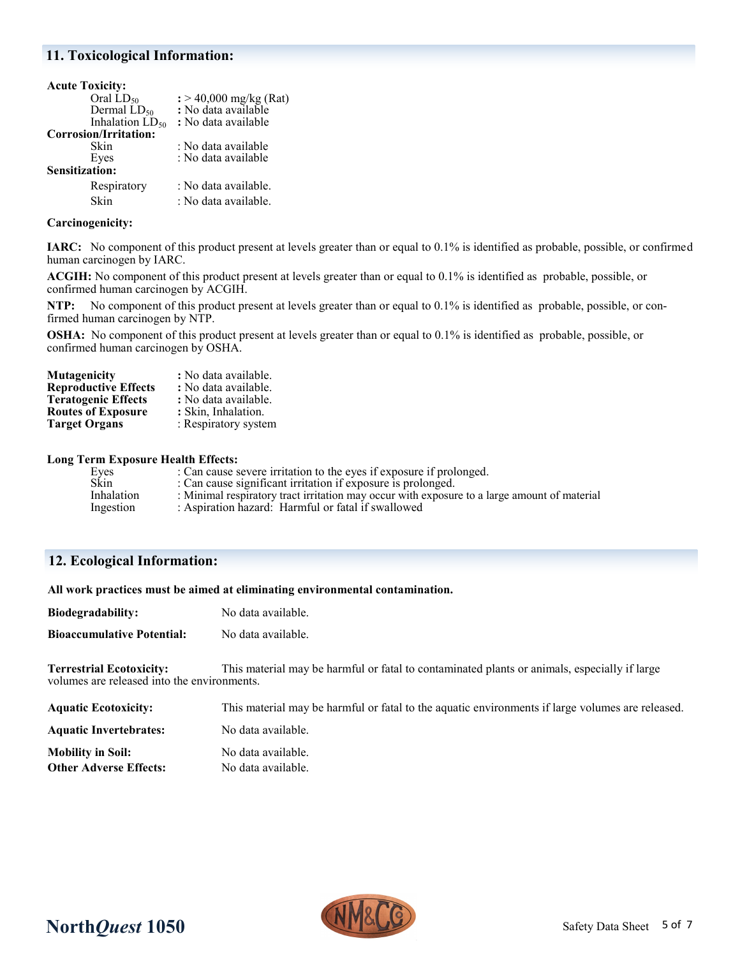### **11. Toxicological Information:**

| <b>Acute Toxicity:</b> |                                    |
|------------------------|------------------------------------|
| Oral $LD_{50}$         | $\frac{1}{2}$ > 40,000 mg/kg (Rat) |
| Dermal $LD_{50}$       | : No data available                |
| Inhalation $LD_{50}$   | : No data available                |
| Corrosion/Irritation:  |                                    |
| Skin                   | : No data available                |
| Eyes                   | : No data available                |
| <b>Sensitization:</b>  |                                    |
| Respiratory            | : No data available.               |
| Skin                   | : No data available.               |
|                        |                                    |

### **Carcinogenicity:**

**IARC:** No component of this product present at levels greater than or equal to 0.1% is identified as probable, possible, or confirmed human carcinogen by IARC.

**ACGIH:** No component of this product present at levels greater than or equal to 0.1% is identified as probable, possible, or confirmed human carcinogen by ACGIH.

**NTP:** No component of this product present at levels greater than or equal to 0.1% is identified as probable, possible, or confirmed human carcinogen by NTP.

**OSHA:** No component of this product present at levels greater than or equal to 0.1% is identified as probable, possible, or confirmed human carcinogen by OSHA.

| Mutagenicity                | : No data available. |
|-----------------------------|----------------------|
| <b>Reproductive Effects</b> | : No data available. |
| <b>Teratogenic Effects</b>  | : No data available. |
| <b>Routes of Exposure</b>   | : Skin, Inhalation.  |
| <b>Target Organs</b>        | : Respiratory system |
|                             |                      |

#### **Long Term Exposure Health Effects:**

| Eves        | : Can cause severe irritation to the eyes if exposure if prolonged.                          |
|-------------|----------------------------------------------------------------------------------------------|
| <b>Skin</b> | : Can cause significant irritation if exposure is prolonged.                                 |
| Inhalation  | : Minimal respiratory tract irritation may occur with exposure to a large amount of material |
| Ingestion   | : Aspiration hazard: Harmful or fatal if swallowed                                           |

### **12. Ecological Information:**

| All work practices must be aimed at eliminating environmental contamination.   |                                                                                                  |  |
|--------------------------------------------------------------------------------|--------------------------------------------------------------------------------------------------|--|
| Biodegradability:                                                              | No data available.                                                                               |  |
| <b>Bioaccumulative Potential:</b>                                              | No data available.                                                                               |  |
| <b>Terrestrial Ecotoxicity:</b><br>volumes are released into the environments. | This material may be harmful or fatal to contaminated plants or animals, especially if large     |  |
| <b>Aquatic Ecotoxicity:</b>                                                    | This material may be harmful or fatal to the aquatic environments if large volumes are released. |  |
| <b>Aquatic Invertebrates:</b>                                                  | No data available.                                                                               |  |
| <b>Mobility in Soil:</b>                                                       | No data available.                                                                               |  |

**Other Adverse Effects:** No data available.

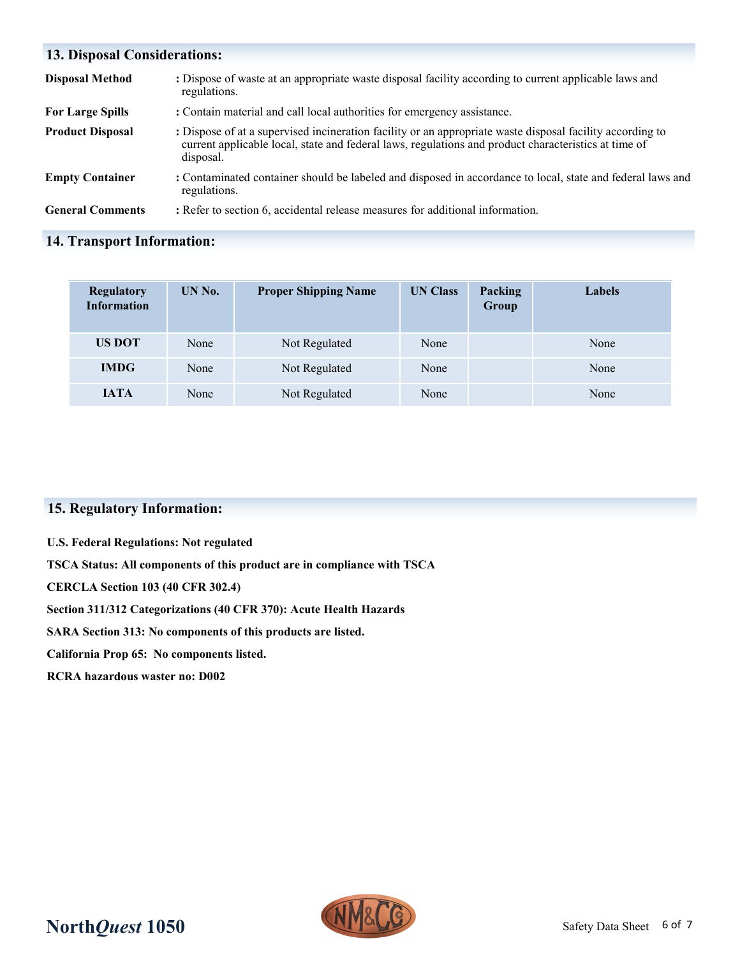| <b>13. Disposal Considerations:</b> |                                                                                                                                                                                                                                |  |
|-------------------------------------|--------------------------------------------------------------------------------------------------------------------------------------------------------------------------------------------------------------------------------|--|
| <b>Disposal Method</b>              | : Dispose of waste at an appropriate waste disposal facility according to current applicable laws and<br>regulations.                                                                                                          |  |
| <b>For Large Spills</b>             | : Contain material and call local authorities for emergency assistance.                                                                                                                                                        |  |
| <b>Product Disposal</b>             | : Dispose of at a supervised incineration facility or an appropriate waste disposal facility according to<br>current applicable local, state and federal laws, regulations and product characteristics at time of<br>disposal. |  |
| <b>Empty Container</b>              | : Contaminated container should be labeled and disposed in accordance to local, state and federal laws and<br>regulations.                                                                                                     |  |
| <b>General Comments</b>             | : Refer to section 6, accidental release measures for additional information.                                                                                                                                                  |  |

## **14. Transport Information:**

| <b>Regulatory</b><br><b>Information</b> | UN No. | <b>Proper Shipping Name</b> | <b>UN Class</b> | Packing<br>Group | <b>Labels</b> |
|-----------------------------------------|--------|-----------------------------|-----------------|------------------|---------------|
| <b>US DOT</b>                           | None   | Not Regulated               | None            |                  | None          |
| <b>IMDG</b>                             | None   | Not Regulated               | None            |                  | None          |
| <b>JATA</b>                             | None   | Not Regulated               | None            |                  | None          |

## **15. Regulatory Information:**

**U.S. Federal Regulations: Not regulated**

**TSCA Status: All components of this product are in compliance with TSCA**

**CERCLA Section 103 (40 CFR 302.4)**

**Section 311/312 Categorizations (40 CFR 370): Acute Health Hazards**

**SARA Section 313: No components of this products are listed.** 

**California Prop 65: No components listed.**

**RCRA hazardous waster no: D002**